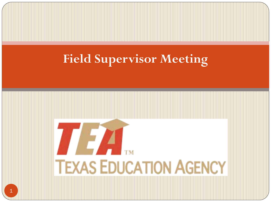#### **Field Supervisor Meeting**

# 7774 **TEXAS EDUCATION AGENCY**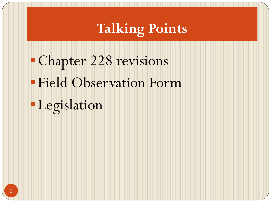### **Talking Points**

Chapter 228 revisions Field Observation Form Legislation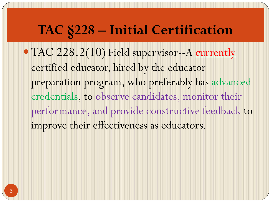#### **TAC §228 – Initial Certification**

• TAC 228.2(10) Field supervisor--A currently certified educator, hired by the educator preparation program, who preferably has advanced credentials, to observe candidates, monitor their performance, and provide constructive feedback to improve their effectiveness as educators.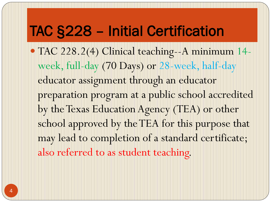#### TAC §228 – Initial Certification

 TAC 228.2(4) Clinical teaching--A minimum 14 week, full-day (70 Days) or 28-week, half-day educator assignment through an educator preparation program at a public school accredited by the Texas Education Agency (TEA) or other school approved by the TEA for this purpose that may lead to completion of a standard certificate; also referred to as student teaching.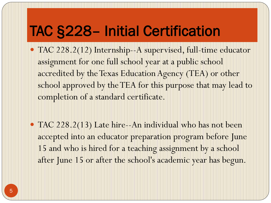### TAC §228– Initial Certification

- TAC 228.2(12) Internship--A supervised, full-time educator assignment for one full school year at a public school accredited by the Texas Education Agency (TEA) or other school approved by the TEA for this purpose that may lead to completion of a standard certificate.
- TAC 228.2(13) Late hire--An individual who has not been accepted into an educator preparation program before June 15 and who is hired for a teaching assignment by a school after June 15 or after the school's academic year has begun.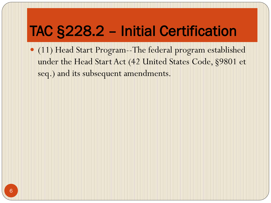### TAC §228.2 – Initial Certification

 (11) Head Start Program--The federal program established under the Head Start Act (42 United States Code, §9801 et seq.) and its subsequent amendments.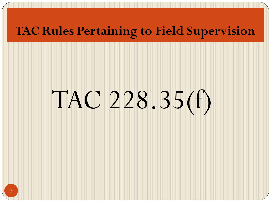#### **TAC Rules Pertaining to Field Supervision**

# TAC 228.35(f)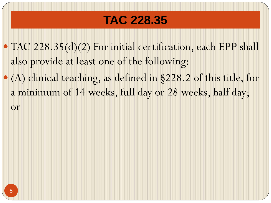#### **TAC 228.35**

- TAC 228.35(d)(2) For initial certification, each EPP shall also provide at least one of the following:
- (A) clinical teaching, as defined in §228.2 of this title, for a minimum of 14 weeks, full day or 28 weeks, half day;

or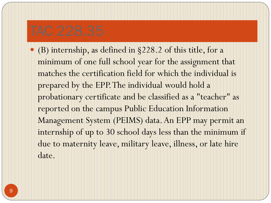(B) internship, as defined in §228.2 of this title, for a minimum of one full school year for the assignment that matches the certification field for which the individual is prepared by the EPP. The individual would hold a probationary certificate and be classified as a "teacher" as reported on the campus Public Education Information Management System (PEIMS) data. An EPP may permit an internship of up to 30 school days less than the minimum if due to maternity leave, military leave, illness, or late hire date.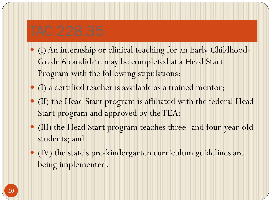- (i) An internship or clinical teaching for an Early Childhood-Grade 6 candidate may be completed at a Head Start Program with the following stipulations:
- (I) a certified teacher is available as a trained mentor;
- (II) the Head Start program is affiliated with the federal Head Start program and approved by the TEA;
- (III) the Head Start program teaches three- and four-year-old students; and
- (IV) the state's pre-kindergarten curriculum guidelines are being implemented.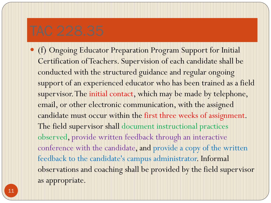(f) Ongoing Educator Preparation Program Support for Initial Certification of Teachers. Supervision of each candidate shall be conducted with the structured guidance and regular ongoing support of an experienced educator who has been trained as a field supervisor. The initial contact, which may be made by telephone, email, or other electronic communication, with the assigned candidate must occur within the first three weeks of assignment. The field supervisor shall document instructional practices observed, provide written feedback through an interactive conference with the candidate, and provide a copy of the written feedback to the candidate's campus administrator. Informal observations and coaching shall be provided by the field supervisor as appropriate.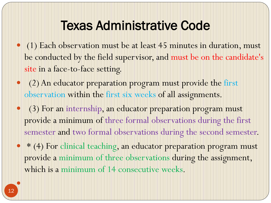#### Texas Administrative Code

- (1) Each observation must be at least 45 minutes in duration, must be conducted by the field supervisor, and must be on the candidate's site in a face-to-face setting.
- (2) An educator preparation program must provide the first observation within the first six weeks of all assignments.
- (3) For an internship, an educator preparation program must provide a minimum of three formal observations during the first semester and two formal observations during the second semester.
- \* (4) For clinical teaching, an educator preparation program must provide a minimum of three observations during the assignment, which is a minimum of 14 consecutive weeks.

 $\bullet$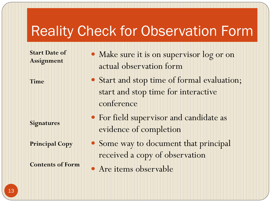#### Reality Check for Observation Form

**Start Date of Assignment** 

**Time**

**Signatures**

**Principal Copy**

**Contents of Form**

- Make sure it is on supervisor log or on actual observation form
- Start and stop time of formal evaluation; start and stop time for interactive conference
- For field supervisor and candidate as evidence of completion
- Some way to document that principal received a copy of observation
- Are items observable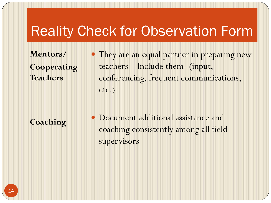#### Reality Check for Observation Form

**Mentors/ Cooperating Teachers** 

• They are an equal partner in preparing new teachers – Include them- (input, conferencing, frequent communications, etc.)

**Coaching** 

 Document additional assistance and coaching consistently among all field supervisors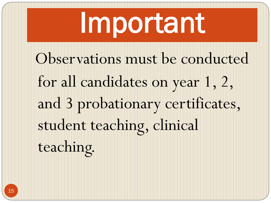## Important

Observations must be conducted for all candidates on year 1, 2, and 3 probationary certificates, student teaching, clinical teaching.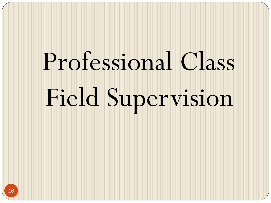# Professional Class Field Supervision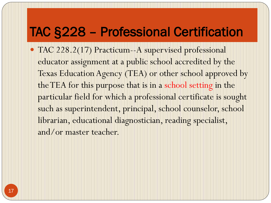#### TAC §228 – Professional Certification

 TAC 228.2(17) Practicum--A supervised professional educator assignment at a public school accredited by the Texas Education Agency (TEA) or other school approved by the TEA for this purpose that is in a school setting in the particular field for which a professional certificate is sought such as superintendent, principal, school counselor, school librarian, educational diagnostician, reading specialist, and/or master teacher.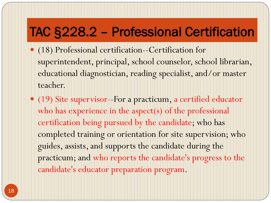#### TAC §228.2 – Professional Certification

- (18) Professional certification--Certification for superintendent, principal, school counselor, school librarian, educational diagnostician, reading specialist, and/or master teacher.
- (19) Site supervisor--For a practicum, a certified educator who has experience in the aspect(s) of the professional certification being pursued by the candidate; who has completed training or orientation for site supervision; who guides, assists, and supports the candidate during the practicum; and who reports the candidate's progress to the candidate's educator preparation program.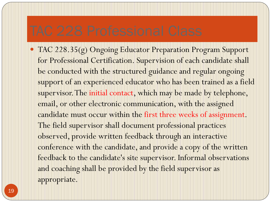TAC 228.35(g) Ongoing Educator Preparation Program Support for Professional Certification. Supervision of each candidate shall be conducted with the structured guidance and regular ongoing support of an experienced educator who has been trained as a field supervisor. The initial contact, which may be made by telephone, email, or other electronic communication, with the assigned candidate must occur within the first three weeks of assignment. The field supervisor shall document professional practices observed, provide written feedback through an interactive conference with the candidate, and provide a copy of the written feedback to the candidate's site supervisor. Informal observations and coaching shall be provided by the field supervisor as appropriate.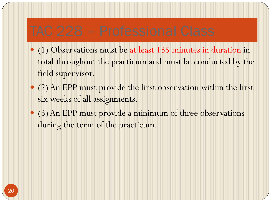- (1) Observations must be at least 135 minutes in duration in total throughout the practicum and must be conducted by the field supervisor.
- (2) An EPP must provide the first observation within the first six weeks of all assignments.
- (3) An EPP must provide a minimum of three observations during the term of the practicum.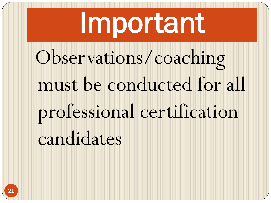## Important Observations/coaching must be conducted for all professional certification candidates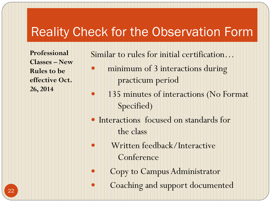#### Reality Check for the Observation Form

**Professional Classes – New Rules to be effective Oct. 26, 2014**

Similar to rules for initial certification…

- minimum of 3 interactions during practicum period
- 135 minutes of interactions (No Format Specified)
- Interactions focused on standards for the class
- Written feedback/Interactive **Conference** 
	- Copy to Campus Administrator
	- Coaching and support documented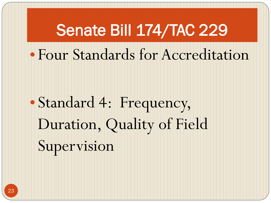## Senate Bill 174/TAC 229 • Four Standards for Accreditation

## • Standard 4: Frequency, Duration, Quality of Field Supervision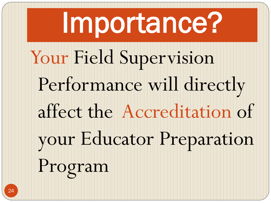## Importance? Your Field Supervision Performance will directly affect the Accreditation of your Educator Preparation Program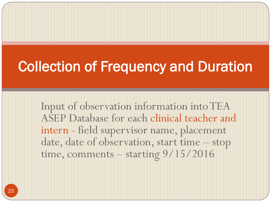### Collection of Frequency and Duration

Input of observation information into TEA ASEP Database for each clinical teacher and intern - field supervisor name, placement date, date of observation, start time – stop time, comments – starting 9/15/2016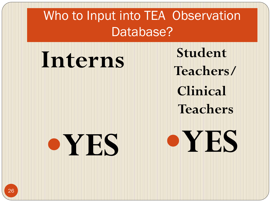Who to Input into TEA Observation Database?

**Interns Student Teachers/ Clinical Teachers YES**

**YES**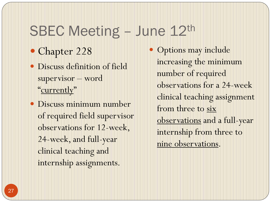#### SBEC Meeting - June 12th

- Chapter 228
- Discuss definition of field supervisor – word "currently"
- Discuss minimum number of required field supervisor observations for 12-week, 24-week, and full-year clinical teaching and internship assignments.
- Options may include increasing the minimum number of required observations for a 24-week clinical teaching assignment from three to six observations and a full-year internship from three to nine observations.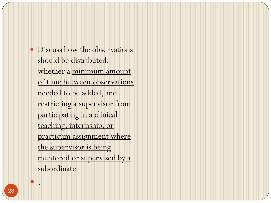Discuss how the observations should be distributed, whether a minimum amount of time between observations needed to be added, and restricting a supervisor from participating in a clinical teaching, internship, or practicum assignment where the supervisor is being mentored or supervised by a subordinate

.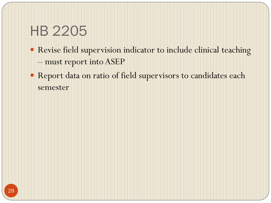### HB 2205

- Revise field supervision indicator to include clinical teaching – must report into ASEP
- Report data on ratio of field supervisors to candidates each semester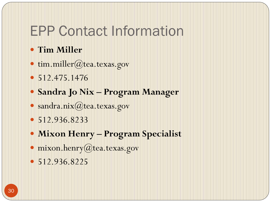#### EPP Contact Information

#### **Tim Miller**

- tim.miller@tea.texas.gov
- $\bullet$  512.475.1476
- **Sandra Jo Nix – Program Manager**
- sandra.nix@tea.texas.gov
- 512.936.8233
- **Mixon Henry – Program Specialist**
- mixon.henry@tea.texas.gov
- 512.936.8225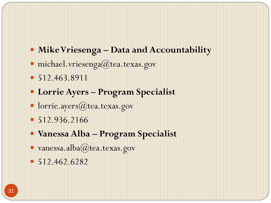- **Mike Vriesenga – Data and Accountability**
- michael.vriesenga@tea.texas.gov
- 512.463.8911
- **Lorrie Ayers – Program Specialist**
- · lorrie.ayers@tea.texas.gov
- 512.936.2166
- **Vanessa Alba – Program Specialist**
- vanessa.alba@tea.texas.gov
- $\bullet$  512.462.6282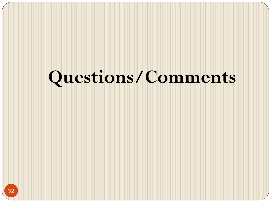### **Questions/Comments**